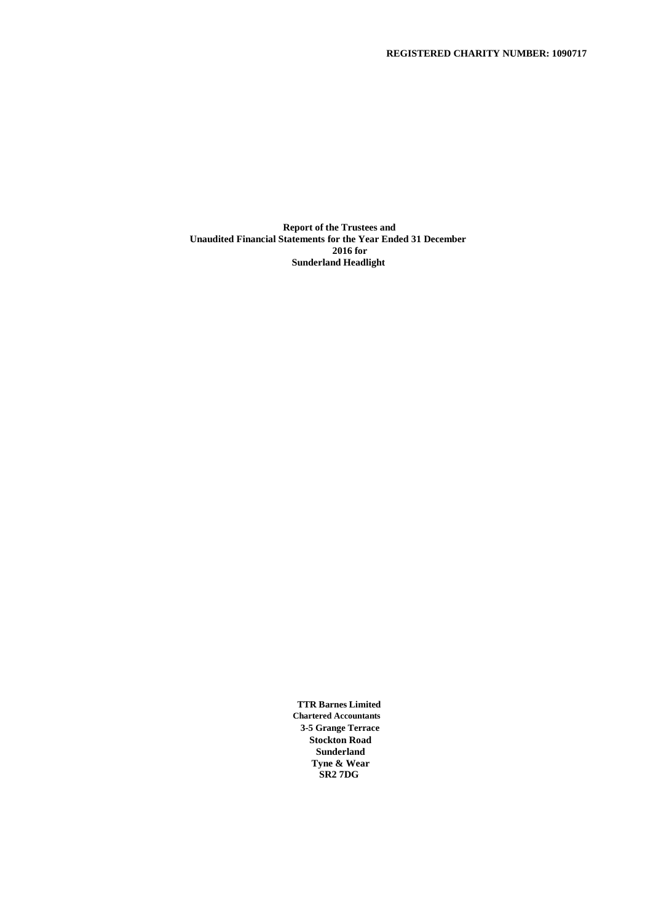**Report of the Trustees and Unaudited Financial Statements for the Year Ended 31 December 2016 for Sunderland Headlight**

> **TTR Barnes Limited Chartered Accountants 3-5 Grange Terrace Stockton Road Sunderland Tyne & Wear SR2 7DG**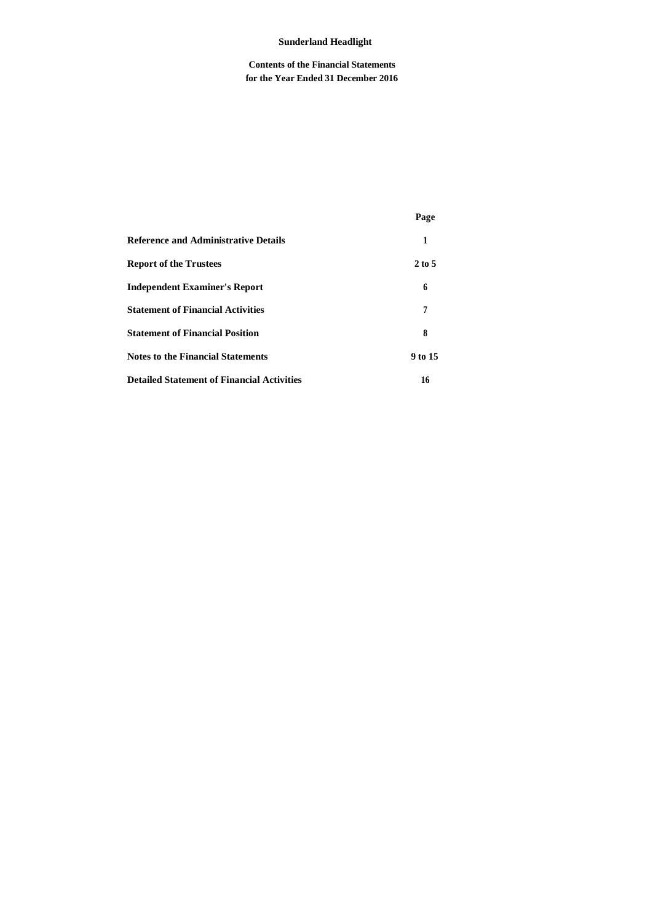# **Contents of the Financial Statements for the Year Ended 31 December 2016**

|                                                   | Page              |
|---------------------------------------------------|-------------------|
| <b>Reference and Administrative Details</b>       | 1                 |
| <b>Report of the Trustees</b>                     | $2 \text{ to } 5$ |
| <b>Independent Examiner's Report</b>              | 6                 |
| <b>Statement of Financial Activities</b>          | 7                 |
| <b>Statement of Financial Position</b>            | 8                 |
| <b>Notes to the Financial Statements</b>          | 9 to 15           |
| <b>Detailed Statement of Financial Activities</b> | 16                |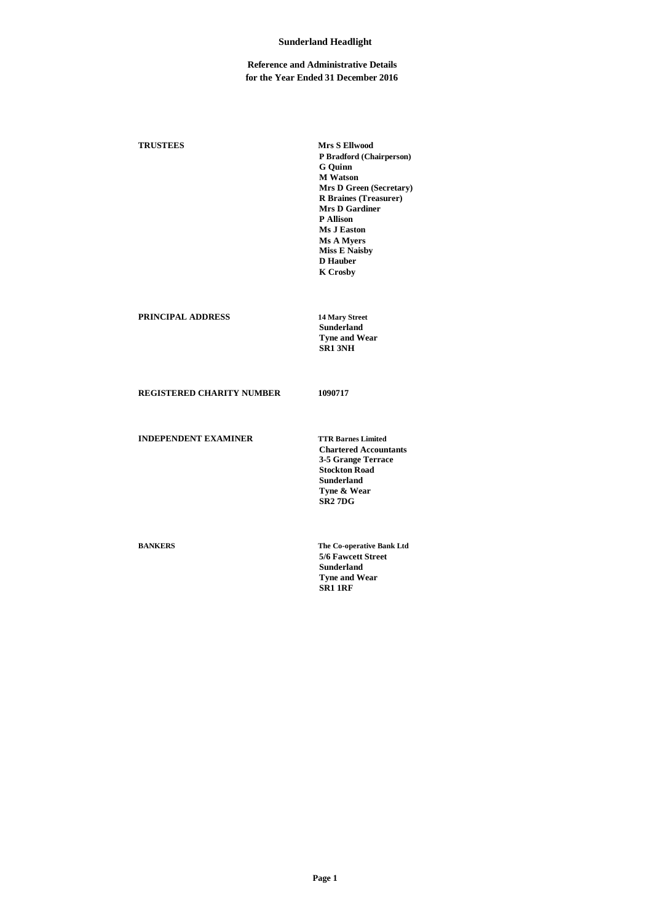## **Reference and Administrative Details for the Year Ended 31 December 2016**

**TRUSTEES Mrs S Ellwood P Bradford (Chairperson) G Quinn M Watson Mrs D Green (Secretary) R Braines (Treasurer) Mrs D Gardiner P Allison Ms J Easton Ms A Myers Miss E Naisby D Hauber K Crosby PRINCIPAL ADDRESS 14 Mary Street Sunderland Tyne and Wear SR1 3NH REGISTERED CHARITY NUMBER 1090717 INDEPENDENT EXAMINER TTR Barnes Limited Chartered Accountants 3-5 Grange Terrace Stockton Road Sunderland Tyne & Wear**

**BANKERS The Co-operative Bank Ltd 5/6 Fawcett Street Sunderland Tyne and Wear SR1 1RF**

**SR2 7DG**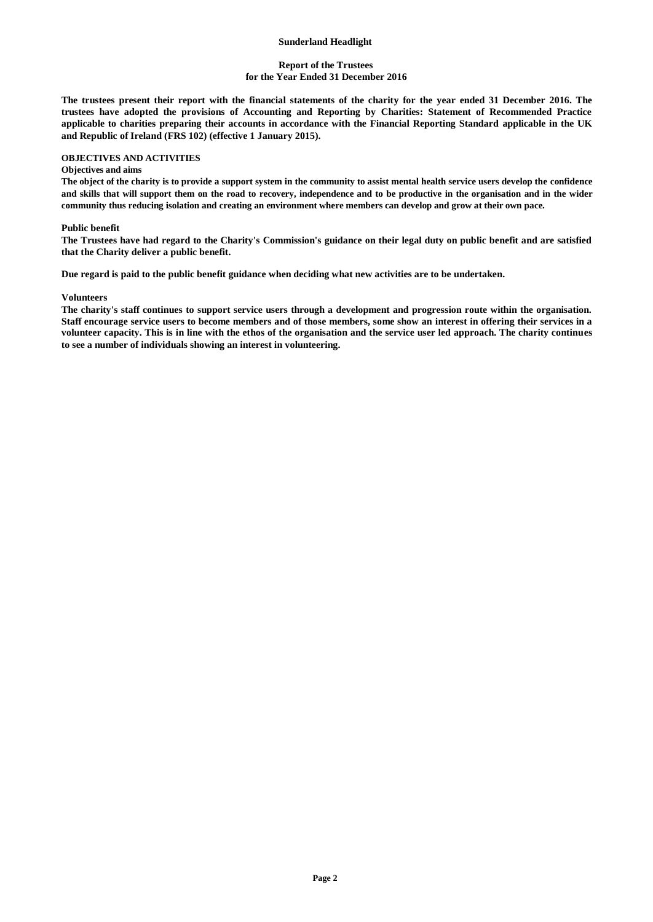## **Report of the Trustees for the Year Ended 31 December 2016**

**The trustees present their report with the financial statements of the charity for the year ended 31 December 2016. The trustees have adopted the provisions of Accounting and Reporting by Charities: Statement of Recommended Practice applicable to charities preparing their accounts in accordance with the Financial Reporting Standard applicable in the UK and Republic of Ireland (FRS 102) (effective 1 January 2015).**

# **OBJECTIVES AND ACTIVITIES**

#### **Objectives and aims**

**The object of the charity is to provide a support system in the community to assist mental health service users develop the confidence and skills that will support them on the road to recovery, independence and to be productive in the organisation and in the wider community thus reducing isolation and creating an environment where members can develop and grow at their own pace.**

#### **Public benefit**

**The Trustees have had regard to the Charity's Commission's guidance on their legal duty on public benefit and are satisfied that the Charity deliver a public benefit.**

**Due regard is paid to the public benefit guidance when deciding what new activities are to be undertaken.**

#### **Volunteers**

**The charity's staff continues to support service users through a development and progression route within the organisation. Staff encourage service users to become members and of those members, some show an interest in offering their services in a volunteer capacity. This is in line with the ethos of the organisation and the service user led approach. The charity continues to see a number of individuals showing an interest in volunteering.**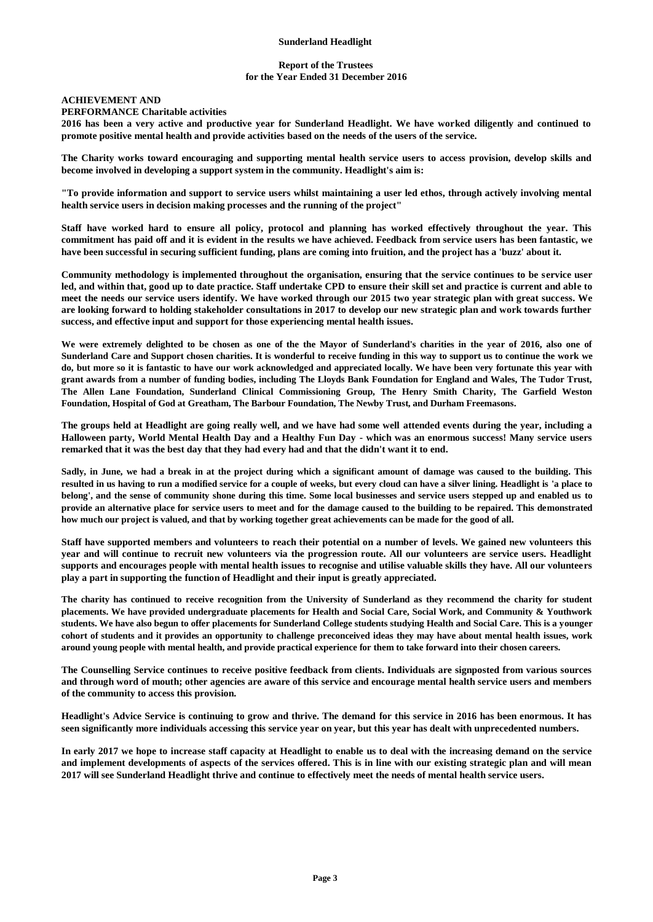## **Report of the Trustees for the Year Ended 31 December 2016**

# **ACHIEVEMENT AND**

## **PERFORMANCE Charitable activities**

**2016 has been a very active and productive year for Sunderland Headlight. We have worked diligently and continued to promote positive mental health and provide activities based on the needs of the users of the service.**

**The Charity works toward encouraging and supporting mental health service users to access provision, develop skills and become involved in developing a support system in the community. Headlight's aim is:**

**"To provide information and support to service users whilst maintaining a user led ethos, through actively involving mental health service users in decision making processes and the running of the project"**

**Staff have worked hard to ensure all policy, protocol and planning has worked effectively throughout the year. This commitment has paid off and it is evident in the results we have achieved. Feedback from service users has been fantastic, we have been successful in securing sufficient funding, plans are coming into fruition, and the project has a 'buzz' about it.**

**Community methodology is implemented throughout the organisation, ensuring that the service continues to be service user led, and within that, good up to date practice. Staff undertake CPD to ensure their skill set and practice is current and able to meet the needs our service users identify. We have worked through our 2015 two year strategic plan with great success. We are looking forward to holding stakeholder consultations in 2017 to develop our new strategic plan and work towards further success, and effective input and support for those experiencing mental health issues.**

**We were extremely delighted to be chosen as one of the the Mayor of Sunderland's charities in the year of 2016, also one of Sunderland Care and Support chosen charities. It is wonderful to receive funding in this way to support us to continue the work we do, but more so it is fantastic to have our work acknowledged and appreciated locally. We have been very fortunate this year with grant awards from a number of funding bodies, including The Lloyds Bank Foundation for England and Wales, The Tudor Trust, The Allen Lane Foundation, Sunderland Clinical Commissioning Group, The Henry Smith Charity, The Garfield Weston Foundation, Hospital of God at Greatham, The Barbour Foundation, The Newby Trust, and Durham Freemasons.**

**The groups held at Headlight are going really well, and we have had some well attended events during the year, including a Halloween party, World Mental Health Day and a Healthy Fun Day - which was an enormous success! Many service users remarked that it was the best day that they had every had and that the didn't want it to end.**

**Sadly, in June, we had a break in at the project during which a significant amount of damage was caused to the building. This resulted in us having to run a modified service for a couple of weeks, but every cloud can have a silver lining. Headlight is 'a place to belong', and the sense of community shone during this time. Some local businesses and service users stepped up and enabled us to provide an alternative place for service users to meet and for the damage caused to the building to be repaired. This demonstrated how much our project is valued, and that by working together great achievements can be made for the good of all.**

**Staff have supported members and volunteers to reach their potential on a number of levels. We gained new volunteers this year and will continue to recruit new volunteers via the progression route. All our volunteers are service users. Headlight supports and encourages people with mental health issues to recognise and utilise valuable skills they have. All our volunteers play a part in supporting the function of Headlight and their input is greatly appreciated.**

**The charity has continued to receive recognition from the University of Sunderland as they recommend the charity for student placements. We have provided undergraduate placements for Health and Social Care, Social Work, and Community & Youthwork students. We have also begun to offer placements for Sunderland College students studying Health and Social Care. This is a younger cohort of students and it provides an opportunity to challenge preconceived ideas they may have about mental health issues, work around young people with mental health, and provide practical experience for them to take forward into their chosen careers.**

**The Counselling Service continues to receive positive feedback from clients. Individuals are signposted from various sources and through word of mouth; other agencies are aware of this service and encourage mental health service users and members of the community to access this provision.**

**Headlight's Advice Service is continuing to grow and thrive. The demand for this service in 2016 has been enormous. It has seen significantly more individuals accessing this service year on year, but this year has dealt with unprecedented numbers.**

**In early 2017 we hope to increase staff capacity at Headlight to enable us to deal with the increasing demand on the service and implement developments of aspects of the services offered. This is in line with our existing strategic plan and will mean 2017 will see Sunderland Headlight thrive and continue to effectively meet the needs of mental health service users.**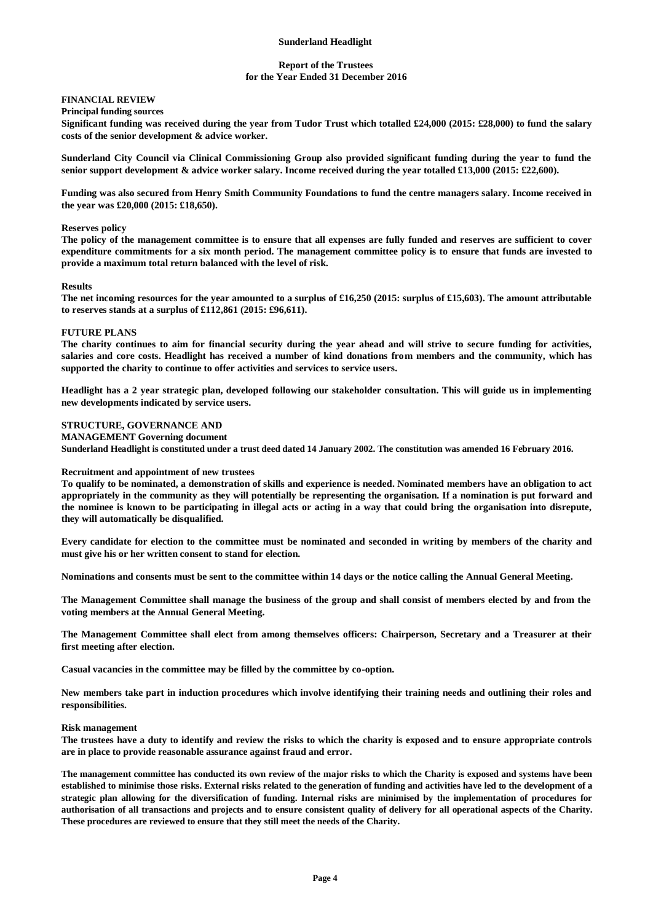### **Report of the Trustees for the Year Ended 31 December 2016**

# **FINANCIAL REVIEW**

## **Principal funding sources**

**Significant funding was received during the year from Tudor Trust which totalled £24,000 (2015: £28,000) to fund the salary costs of the senior development & advice worker.**

**Sunderland City Council via Clinical Commissioning Group also provided significant funding during the year to fund the senior support development & advice worker salary. Income received during the year totalled £13,000 (2015: £22,600).**

**Funding was also secured from Henry Smith Community Foundations to fund the centre managers salary. Income received in the year was £20,000 (2015: £18,650).**

#### **Reserves policy**

**The policy of the management committee is to ensure that all expenses are fully funded and reserves are sufficient to cover expenditure commitments for a six month period. The management committee policy is to ensure that funds are invested to provide a maximum total return balanced with the level of risk.**

#### **Results**

**The net incoming resources for the year amounted to a surplus of £16,250 (2015: surplus of £15,603). The amount attributable to reserves stands at a surplus of £112,861 (2015: £96,611).**

#### **FUTURE PLANS**

**The charity continues to aim for financial security during the year ahead and will strive to secure funding for activities, salaries and core costs. Headlight has received a number of kind donations from members and the community, which has supported the charity to continue to offer activities and services to service users.**

**Headlight has a 2 year strategic plan, developed following our stakeholder consultation. This will guide us in implementing new developments indicated by service users.**

#### **STRUCTURE, GOVERNANCE AND**

**MANAGEMENT Governing document**

**Sunderland Headlight is constituted under a trust deed dated 14 January 2002. The constitution was amended 16 February 2016.**

#### **Recruitment and appointment of new trustees**

**To qualify to be nominated, a demonstration of skills and experience is needed. Nominated members have an obligation to act appropriately in the community as they will potentially be representing the organisation. If a nomination is put forward and the nominee is known to be participating in illegal acts or acting in a way that could bring the organisation into disrepute, they will automatically be disqualified.**

**Every candidate for election to the committee must be nominated and seconded in writing by members of the charity and must give his or her written consent to stand for election.**

**Nominations and consents must be sent to the committee within 14 days or the notice calling the Annual General Meeting.**

**The Management Committee shall manage the business of the group and shall consist of members elected by and from the voting members at the Annual General Meeting.**

**The Management Committee shall elect from among themselves officers: Chairperson, Secretary and a Treasurer at their first meeting after election.**

**Casual vacancies in the committee may be filled by the committee by co-option.**

**New members take part in induction procedures which involve identifying their training needs and outlining their roles and responsibilities.**

#### **Risk management**

**The trustees have a duty to identify and review the risks to which the charity is exposed and to ensure appropriate controls are in place to provide reasonable assurance against fraud and error.**

**The management committee has conducted its own review of the major risks to which the Charity is exposed and systems have been established to minimise those risks. External risks related to the generation of funding and activities have led to the development of a strategic plan allowing for the diversification of funding. Internal risks are minimised by the implementation of procedures for authorisation of all transactions and projects and to ensure consistent quality of delivery for all operational aspects of the Charity. These procedures are reviewed to ensure that they still meet the needs of the Charity.**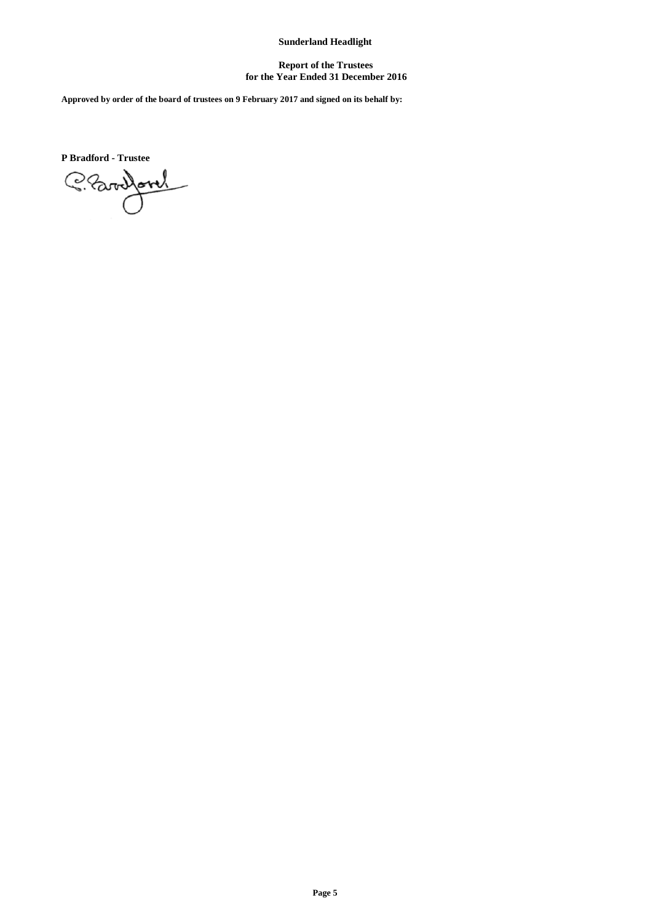## **Report of the Trustees for the Year Ended 31 December 2016**

**Approved by order of the board of trustees on 9 February 2017 and signed on its behalf by:**

**P Bradford - Trustee**

Clarifon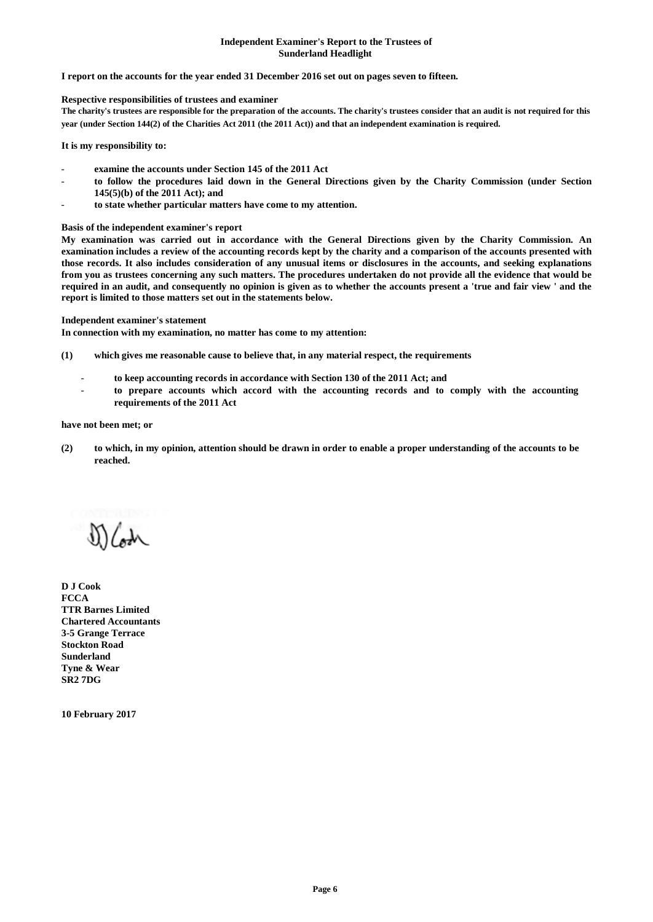### **Independent Examiner's Report to the Trustees of Sunderland Headlight**

### **I report on the accounts for the year ended 31 December 2016 set out on pages seven to fifteen.**

### **Respective responsibilities of trustees and examiner**

**The charity's trustees are responsible for the preparation of the accounts. The charity's trustees consider that an audit is not required for this year (under Section 144(2) of the Charities Act 2011 (the 2011 Act)) and that an independent examination is required.**

#### **It is my responsibility to:**

- examine the accounts under Section 145 of the 2011 Act
- **to follow the procedures laid down in the General Directions given by the Charity Commission (under Section 145(5)(b) of the 2011 Act); and**
- **to state whether particular matters have come to my attention.**

#### **Basis of the independent examiner's report**

**My examination was carried out in accordance with the General Directions given by the Charity Commission. An examination includes a review of the accounting records kept by the charity and a comparison of the accounts presented with those records. It also includes consideration of any unusual items or disclosures in the accounts, and seeking explanations from you as trustees concerning any such matters. The procedures undertaken do not provide all the evidence that would be required in an audit, and consequently no opinion is given as to whether the accounts present a 'true and fair view ' and the report is limited to those matters set out in the statements below.**

### **Independent examiner's statement**

**In connection with my examination, no matter has come to my attention:**

- **(1) which gives me reasonable cause to believe that, in any material respect, the requirements**
	- **to keep accounting records in accordance with Section 130 of the 2011 Act; and**
	- **to prepare accounts which accord with the accounting records and to comply with the accounting requirements of the 2011 Act**

### **have not been met; or**

**(2) to which, in my opinion, attention should be drawn in order to enable a proper understanding of the accounts to be reached.**

Koth

**D J Cook FCCA TTR Barnes Limited Chartered Accountants 3-5 Grange Terrace Stockton Road Sunderland Tyne & Wear SR2 7DG**

**10 February 2017**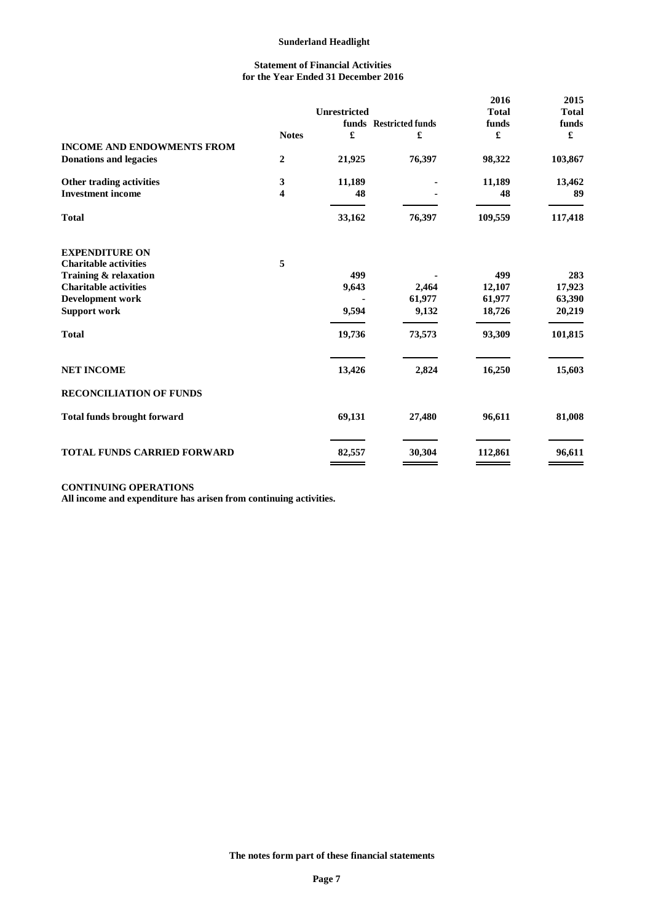## **Statement of Financial Activities for the Year Ended 31 December 2016**

|                                    |              |                     |                        | 2016         | 2015                         |
|------------------------------------|--------------|---------------------|------------------------|--------------|------------------------------|
|                                    |              | <b>Unrestricted</b> |                        | <b>Total</b> | <b>Total</b>                 |
|                                    |              |                     | funds Restricted funds | funds        | funds                        |
|                                    | <b>Notes</b> | £                   | £                      | £            | $\pmb{\pmb{\pmb{\epsilon}}}$ |
| <b>INCOME AND ENDOWMENTS FROM</b>  |              |                     |                        |              |                              |
| <b>Donations and legacies</b>      | 2            | 21,925              | 76,397                 | 98,322       | 103,867                      |
| Other trading activities           | 3            | 11,189              |                        | 11,189       | 13,462                       |
| <b>Investment income</b>           | 4            | 48                  |                        | 48           | 89                           |
| <b>Total</b>                       |              | 33,162              | 76,397                 | 109,559      | 117,418                      |
| <b>EXPENDITURE ON</b>              |              |                     |                        |              |                              |
| <b>Charitable activities</b>       | 5            |                     |                        |              |                              |
| Training & relaxation              |              | 499                 |                        | 499          | 283                          |
| <b>Charitable activities</b>       |              | 9,643               | 2,464                  | 12,107       | 17,923                       |
| <b>Development work</b>            |              |                     | 61,977                 | 61,977       | 63,390                       |
| <b>Support work</b>                |              | 9,594               | 9,132                  | 18,726       | 20,219                       |
| <b>Total</b>                       |              | 19,736              | 73,573                 | 93,309       | 101,815                      |
| <b>NET INCOME</b>                  |              | 13,426              | 2,824                  | 16,250       | 15,603                       |
| <b>RECONCILIATION OF FUNDS</b>     |              |                     |                        |              |                              |
| <b>Total funds brought forward</b> |              | 69,131              | 27,480                 | 96,611       | 81,008                       |
| <b>TOTAL FUNDS CARRIED FORWARD</b> |              | 82,557              | 30,304                 | 112,861      | 96,611                       |

# **CONTINUING OPERATIONS**

**All income and expenditure has arisen from continuing activities.**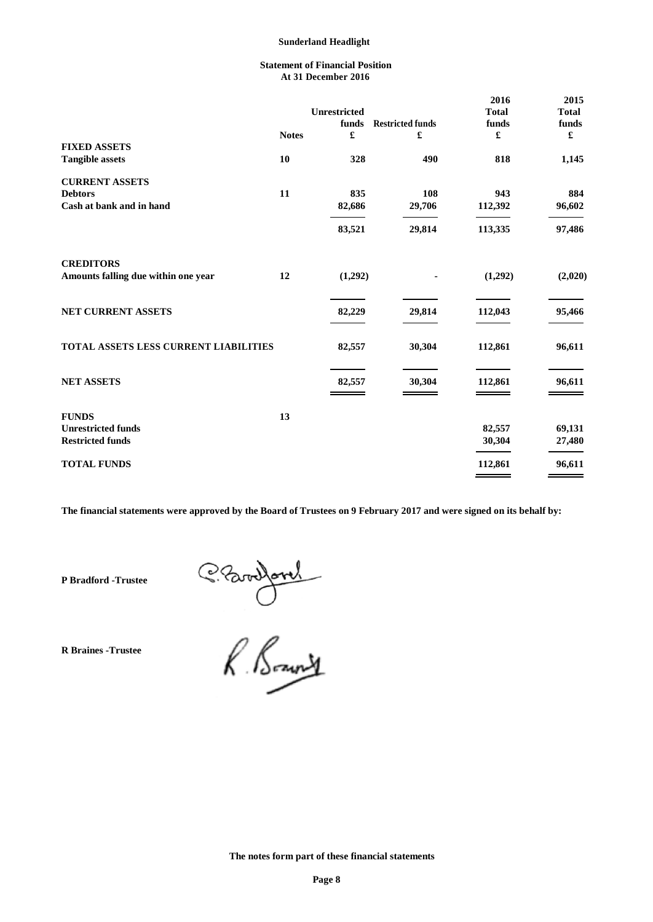## **Statement of Financial Position At 31 December 2016**

|                                       |              |                      |                         | 2016          | 2015                 |
|---------------------------------------|--------------|----------------------|-------------------------|---------------|----------------------|
|                                       |              | Unrestricted         |                         | <b>Total</b>  | <b>Total</b>         |
|                                       |              | funds                | <b>Restricted funds</b> | funds         | funds                |
|                                       | <b>Notes</b> | $\pmb{\mathfrak{L}}$ | £                       | £             | $\pmb{\mathfrak{L}}$ |
| <b>FIXED ASSETS</b>                   |              |                      |                         |               |                      |
| <b>Tangible assets</b>                | 10           | 328                  | 490                     | 818           | 1,145                |
| <b>CURRENT ASSETS</b>                 |              |                      |                         |               |                      |
| <b>Debtors</b>                        | 11           | 835                  | 108                     | 943           | 884                  |
| Cash at bank and in hand              |              | 82,686               | 29,706                  | 112,392       | 96,602               |
|                                       |              | 83,521               | 29,814                  | 113,335       | 97,486               |
| <b>CREDITORS</b>                      |              |                      |                         |               |                      |
| Amounts falling due within one year   | 12           | (1,292)              |                         | (1,292)       | (2,020)              |
| NET CURRENT ASSETS                    |              | 82,229               | 29,814                  | 112,043       | 95,466               |
|                                       |              |                      |                         |               |                      |
| TOTAL ASSETS LESS CURRENT LIABILITIES |              | 82,557               | 30,304                  | 112,861       | 96,611               |
| <b>NET ASSETS</b>                     |              | 82,557               | 30,304                  | 112,861       | 96,611               |
|                                       |              |                      |                         |               |                      |
| <b>FUNDS</b>                          | 13           |                      |                         |               |                      |
| <b>Unrestricted funds</b>             |              |                      |                         | 82,557        | 69,131               |
| <b>Restricted funds</b>               |              |                      |                         | 30,304        | 27,480               |
| <b>TOTAL FUNDS</b>                    |              |                      |                         | 112,861       | 96,611               |
|                                       |              |                      |                         | $\sim$ $\sim$ |                      |

**The financial statements were approved by the Board of Trustees on 9 February 2017 and were signed on its behalf by:**

**P Bradford -Trustee**

**R Braines -Trustee**

Clarifond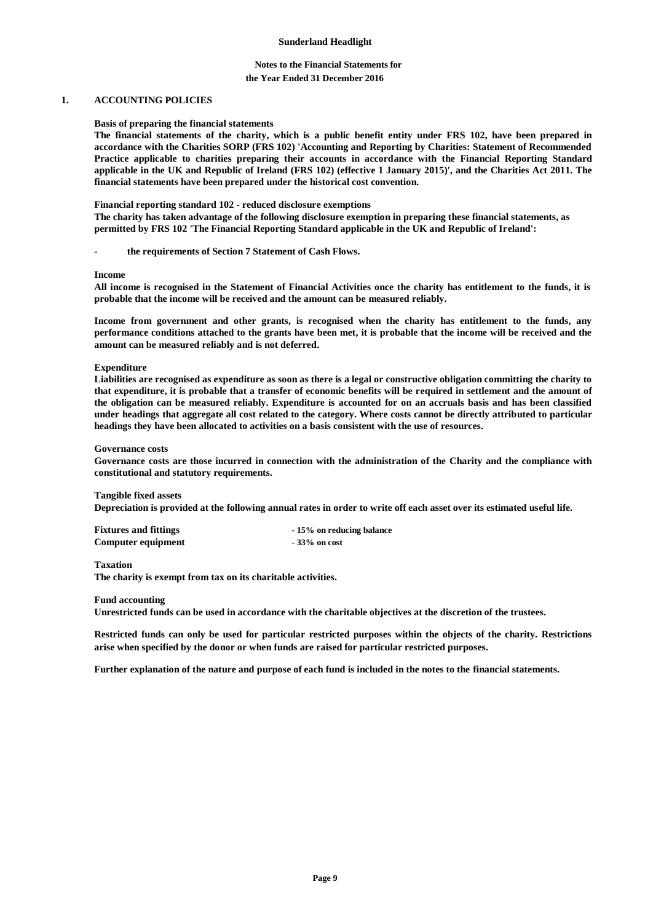## **Notes to the Financial Statements for the Year Ended 31 December 2016**

## **1. ACCOUNTING POLICIES**

### **Basis of preparing the financial statements**

**The financial statements of the charity, which is a public benefit entity under FRS 102, have been prepared in accordance with the Charities SORP (FRS 102) 'Accounting and Reporting by Charities: Statement of Recommended Practice applicable to charities preparing their accounts in accordance with the Financial Reporting Standard applicable in the UK and Republic of Ireland (FRS 102) (effective 1 January 2015)', and the Charities Act 2011. The financial statements have been prepared under the historical cost convention.**

### **Financial reporting standard 102 - reduced disclosure exemptions**

**The charity has taken advantage of the following disclosure exemption in preparing these financial statements, as permitted by FRS 102 'The Financial Reporting Standard applicable in the UK and Republic of Ireland':**

the requirements of Section 7 Statement of Cash Flows.

#### **Income**

**All income is recognised in the Statement of Financial Activities once the charity has entitlement to the funds, it is probable that the income will be received and the amount can be measured reliably.**

**Income from government and other grants, is recognised when the charity has entitlement to the funds, any performance conditions attached to the grants have been met, it is probable that the income will be received and the amount can be measured reliably and is not deferred.**

### **Expenditure**

**Liabilities are recognised as expenditure as soon as there is a legal or constructive obligation committing the charity to that expenditure, it is probable that a transfer of economic benefits will be required in settlement and the amount of the obligation can be measured reliably. Expenditure is accounted for on an accruals basis and has been classified under headings that aggregate all cost related to the category. Where costs cannot be directly attributed to particular headings they have been allocated to activities on a basis consistent with the use of resources.**

### **Governance costs**

**Governance costs are those incurred in connection with the administration of the Charity and the compliance with constitutional and statutory requirements.**

### **Tangible fixed assets**

**Depreciation is provided at the following annual rates in order to write off each asset over its estimated useful life.**

| <b>Fixtures and fittings</b> | -15% on reducing balance |
|------------------------------|--------------------------|
| Computer equipment           | $-33\%$ on cost          |

### **Taxation**

**The charity is exempt from tax on its charitable activities.**

#### **Fund accounting**

**Unrestricted funds can be used in accordance with the charitable objectives at the discretion of the trustees.**

**Restricted funds can only be used for particular restricted purposes within the objects of the charity. Restrictions arise when specified by the donor or when funds are raised for particular restricted purposes.**

**Further explanation of the nature and purpose of each fund is included in the notes to the financial statements.**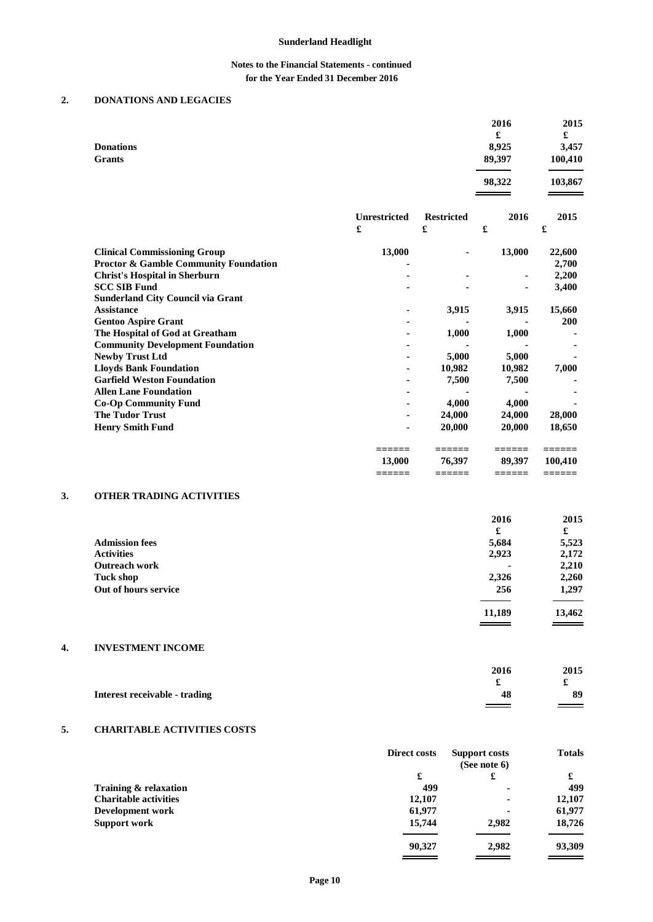# **Notes to the Financial Statements - continued for the Year Ended 31 December 2016**

# **2. DONATIONS AND LEGACIES**

| <b>Donations</b><br><b>Grants</b>                                                                                               |                          |                        | 2016<br>£<br>8,925<br>89,397 | 2015<br>£<br>3,457<br>100,410 |
|---------------------------------------------------------------------------------------------------------------------------------|--------------------------|------------------------|------------------------------|-------------------------------|
|                                                                                                                                 |                          |                        | 98,322                       | 103,867                       |
|                                                                                                                                 | <b>Unrestricted</b><br>£ | <b>Restricted</b><br>£ | 2016<br>£                    | 2015<br>£                     |
| <b>Clinical Commissioning Group</b><br><b>Proctor &amp; Gamble Community Foundation</b><br><b>Christ's Hospital in Sherburn</b> | 13,000<br>$\blacksquare$ | ۰                      | 13,000<br>۰                  | 22,600<br>2,700<br>2,200      |

| <b>SCC SIB Fund</b>                      |                |        |        | 3,400      |
|------------------------------------------|----------------|--------|--------|------------|
| <b>Sunderland City Council via Grant</b> |                |        |        |            |
| <b>Assistance</b>                        | $\blacksquare$ | 3,915  | 3,915  | 15,660     |
| <b>Gentoo Aspire Grant</b>               | $\blacksquare$ |        |        | <b>200</b> |
| The Hospital of God at Greatham          | ٠              | 1,000  | 1,000  |            |
| <b>Community Development Foundation</b>  | $\blacksquare$ |        |        |            |
| <b>Newby Trust Ltd</b>                   | $\blacksquare$ | 5,000  | 5,000  |            |
| <b>Lloyds Bank Foundation</b>            | ٠              | 10.982 | 10,982 | 7,000      |
| <b>Garfield Weston Foundation</b>        | ٠              | 7,500  | 7,500  |            |
| <b>Allen Lane Foundation</b>             | ٠              |        |        |            |
| <b>Co-Op Community Fund</b>              | ٠              | 4,000  | 4,000  |            |
| <b>The Tudor Trust</b>                   | ٠              | 24,000 | 24,000 | 28,000     |
| <b>Henry Smith Fund</b>                  | $\blacksquare$ | 20,000 | 20,000 | 18,650     |
|                                          |                |        |        |            |
|                                          | 13,000         | 76,397 | 89.397 | 100,410    |
|                                          |                |        |        |            |

## **3. OTHER TRADING ACTIVITIES**

|                       | 2016   | 2015   |
|-----------------------|--------|--------|
|                       | £      | £      |
| <b>Admission fees</b> | 5,684  | 5,523  |
| <b>Activities</b>     | 2,923  | 2,172  |
| <b>Outreach work</b>  |        | 2,210  |
| Tuck shop             | 2,326  | 2,260  |
| Out of hours service  | 256    | 1,297  |
|                       | 11,189 | 13,462 |
|                       |        |        |

# **4. INVESTMENT INCOME**

|                               | 2016                     | 2015 |
|-------------------------------|--------------------------|------|
|                               |                          |      |
| Interest receivable - trading | 48                       | 89   |
|                               | $\overline{\phantom{a}}$ |      |

# **5. CHARITABLE ACTIVITIES COSTS**

|                              | <b>Direct costs</b> | Support costs<br>(See note $6$ ) | <b>Totals</b> |
|------------------------------|---------------------|----------------------------------|---------------|
|                              | £                   | £                                | £             |
| Training & relaxation        | 499                 | ٠                                | 499           |
| <b>Charitable activities</b> | 12,107              | ٠                                | 12,107        |
| Development work             | 61,977              | $\blacksquare$                   | 61,977        |
| Support work                 | 15,744              | 2.982                            | 18,726        |
|                              | 90,327              | 2,982                            | 93,309        |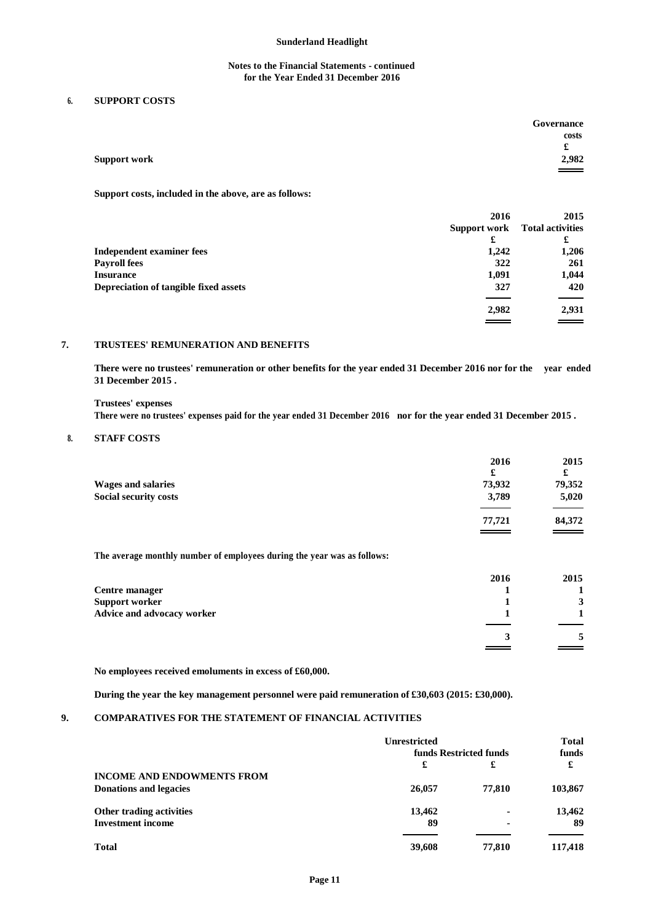## **Notes to the Financial Statements - continued for the Year Ended 31 December 2016**

## **6. SUPPORT COSTS**

|                     | Governance         |
|---------------------|--------------------|
|                     | costs              |
|                     | £                  |
| <b>Support work</b> | 2,982              |
|                     | $\hspace{1.5cm} =$ |

**Support costs, included in the above, are as follows:**

|                                       | 2016     | 2015                                 |
|---------------------------------------|----------|--------------------------------------|
|                                       |          | <b>Support work</b> Total activities |
|                                       | £        | £                                    |
| <b>Independent examiner fees</b>      | 1,242    | 1,206                                |
| <b>Payroll fees</b>                   | 322      | 261                                  |
| <b>Insurance</b>                      | 1,091    | 1,044                                |
| Depreciation of tangible fixed assets | 327      | 420                                  |
|                                       | 2,982    | 2,931                                |
|                                       | $\equiv$ | $\equiv$ $\equiv$                    |

## **7. TRUSTEES' REMUNERATION AND BENEFITS**

**There were no trustees' remuneration or other benefits for the year ended 31 December 2016 nor for the year ended 31 December 2015 .**

**Trustees' expenses There were no trustees' expenses paid for the year ended 31 December 2016 nor for the year ended 31 December 2015 .**

## **8. STAFF COSTS**

|                              | 2016<br>£ | 2015<br>£ |
|------------------------------|-----------|-----------|
| <b>Wages and salaries</b>    | 73,932    | 79,352    |
| <b>Social security costs</b> | 3,789     | 5,020     |
|                              | 77,721    | 84,372    |
|                              | $\equiv$  |           |

**The average monthly number of employees during the year was as follows:**

|                            | 2016 | 2015 |
|----------------------------|------|------|
| Centre manager             |      |      |
| <b>Support worker</b>      |      |      |
| Advice and advocacy worker |      |      |
|                            |      |      |
|                            |      |      |

**No employees received emoluments in excess of £60,000.**

**During the year the key management personnel were paid remuneration of £30,603 (2015: £30,000).**

# **9. COMPARATIVES FOR THE STATEMENT OF FINANCIAL ACTIVITIES**

|                                   | Unrestricted           |        | <b>Total</b> |
|-----------------------------------|------------------------|--------|--------------|
|                                   | funds Restricted funds |        | funds        |
|                                   | £                      | £      | £            |
| <b>INCOME AND ENDOWMENTS FROM</b> |                        |        |              |
| <b>Donations and legacies</b>     | 26,057                 | 77.810 | 103,867      |
| Other trading activities          | 13,462                 |        | 13,462       |
| <b>Investment income</b>          | 89                     |        | 89           |
| <b>Total</b>                      | 39,608                 | 77,810 | 117,418      |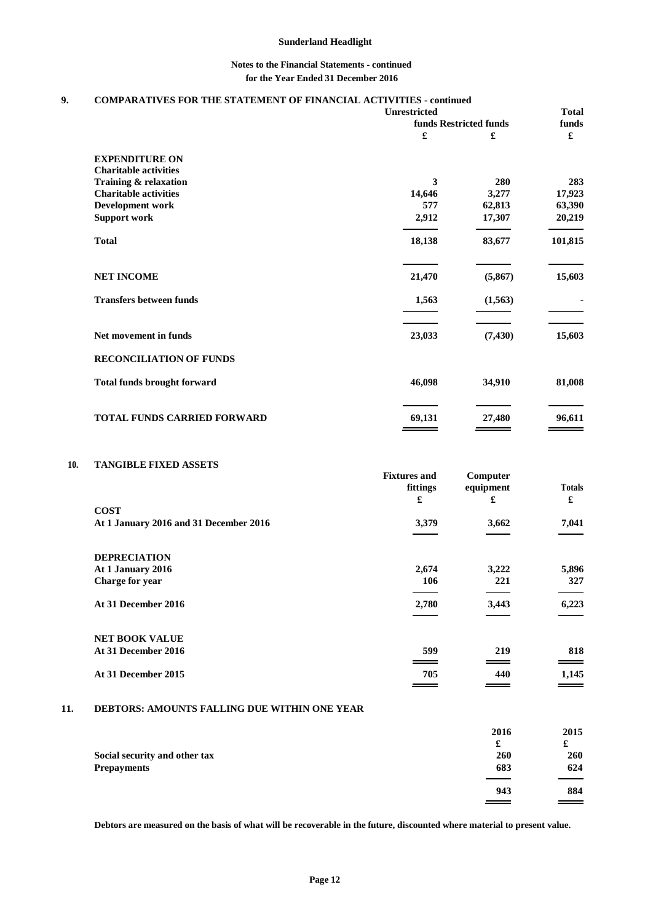## **Notes to the Financial Statements - continued for the Year Ended 31 December 2016**

# **9. COMPARATIVES FOR THE STATEMENT OF FINANCIAL ACTIVITIES - continued**

|                                    | <b>Unrestricted</b> |                             | <b>Total</b> |
|------------------------------------|---------------------|-----------------------------|--------------|
|                                    | £                   | funds Restricted funds<br>£ | funds<br>£   |
| <b>EXPENDITURE ON</b>              |                     |                             |              |
| <b>Charitable activities</b>       |                     |                             |              |
| Training & relaxation              | 3                   | 280                         | 283          |
| <b>Charitable activities</b>       | 14,646              | 3,277                       | 17,923       |
| Development work                   | 577                 | 62,813                      | 63,390       |
| <b>Support work</b>                | 2,912               | 17,307                      | 20,219       |
| <b>Total</b>                       | 18,138              | 83,677                      | 101,815      |
| <b>NET INCOME</b>                  | 21,470              | (5,867)                     | 15,603       |
| <b>Transfers between funds</b>     | 1,563               | (1,563)                     |              |
| Net movement in funds              | 23,033              | (7, 430)                    | 15,603       |
| <b>RECONCILIATION OF FUNDS</b>     |                     |                             |              |
| <b>Total funds brought forward</b> | 46,098              | 34,910                      | 81,008       |
| TOTAL FUNDS CARRIED FORWARD        | 69,131              | 27,480                      | 96,611       |

## **10. TANGIBLE FIXED ASSETS**

|                                        | <b>Fixtures and</b><br>fittings<br>£ | Computer<br>equipment<br>£ | <b>Totals</b><br>£ |
|----------------------------------------|--------------------------------------|----------------------------|--------------------|
| <b>COST</b>                            |                                      |                            |                    |
| At 1 January 2016 and 31 December 2016 | 3,379                                | 3,662                      | 7,041              |
|                                        |                                      |                            |                    |
| <b>DEPRECIATION</b>                    |                                      |                            |                    |
| At 1 January 2016                      | 2,674                                | 3,222                      | 5,896              |
| Charge for year                        | 106                                  | 221                        | 327                |
| At 31 December 2016                    | 2,780                                | 3,443                      | 6,223              |
|                                        |                                      |                            |                    |
| <b>NET BOOK VALUE</b>                  |                                      |                            |                    |
| At 31 December 2016                    | 599                                  | 219                        | 818                |
|                                        |                                      |                            |                    |
| At 31 December 2015                    | 705                                  | 440                        | 1,145              |
|                                        |                                      |                            |                    |

# **11. DEBTORS: AMOUNTS FALLING DUE WITHIN ONE YEAR**

|                               | 2016 | 2015              |
|-------------------------------|------|-------------------|
|                               | £    | £                 |
| Social security and other tax | 260  | 260               |
| <b>Prepayments</b>            | 683  | 624               |
|                               | 943  | 884               |
|                               |      | $\equiv$ $\equiv$ |

**Debtors are measured on the basis of what will be recoverable in the future, discounted where material to present value.**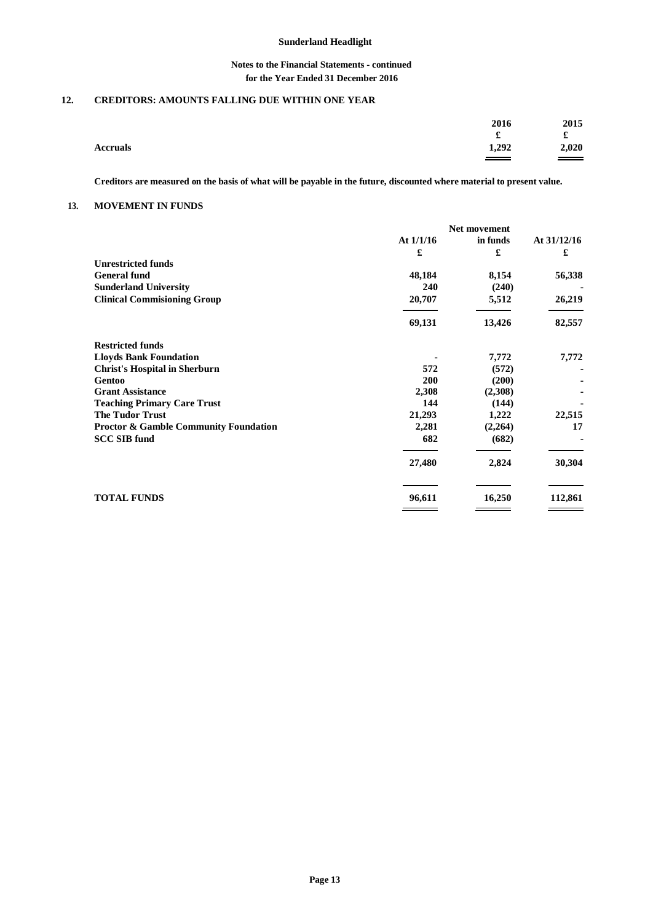## **Notes to the Financial Statements - continued for the Year Ended 31 December 2016**

# **12. CREDITORS: AMOUNTS FALLING DUE WITHIN ONE YEAR**

|                 | 2016<br>£ | 2015<br>£ |
|-----------------|-----------|-----------|
| <b>Accruals</b> | 1,292     | 2,020     |

**Creditors are measured on the basis of what will be payable in the future, discounted where material to present value.**

### **13. MOVEMENT IN FUNDS**

|                                                  | Net movement |          |             |
|--------------------------------------------------|--------------|----------|-------------|
|                                                  | At $1/1/16$  | in funds | At 31/12/16 |
|                                                  | £            | £        | £           |
| <b>Unrestricted funds</b>                        |              |          |             |
| <b>General fund</b>                              | 48,184       | 8,154    | 56,338      |
| <b>Sunderland University</b>                     | 240          | (240)    |             |
| <b>Clinical Commisioning Group</b>               | 20,707       | 5,512    | 26,219      |
|                                                  | 69,131       | 13,426   | 82,557      |
| <b>Restricted funds</b>                          |              |          |             |
| <b>Lloyds Bank Foundation</b>                    |              | 7,772    | 7,772       |
| <b>Christ's Hospital in Sherburn</b>             | 572          | (572)    |             |
| Gentoo                                           | 200          | (200)    |             |
| <b>Grant Assistance</b>                          | 2,308        | (2,308)  |             |
| <b>Teaching Primary Care Trust</b>               | 144          | (144)    |             |
| <b>The Tudor Trust</b>                           | 21,293       | 1,222    | 22,515      |
| <b>Proctor &amp; Gamble Community Foundation</b> | 2,281        | (2,264)  | 17          |
| <b>SCC SIB fund</b>                              | 682          | (682)    |             |
|                                                  | 27,480       | 2,824    | 30,304      |
| <b>TOTAL FUNDS</b>                               | 96,611       | 16,250   | 112,861     |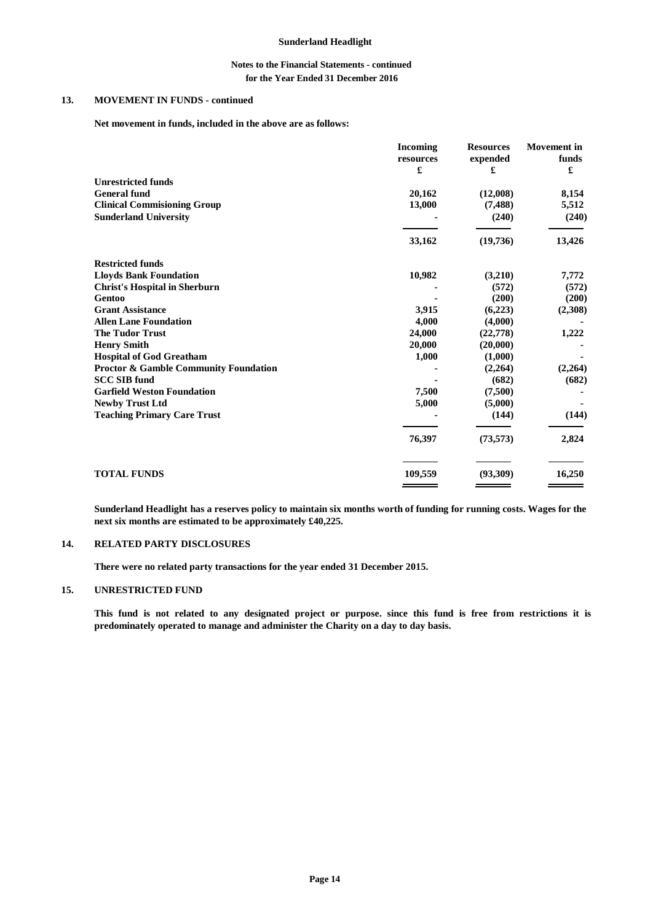## **Notes to the Financial Statements - continued for the Year Ended 31 December 2016**

# **13. MOVEMENT IN FUNDS - continued**

**Net movement in funds, included in the above are as follows:**

|                                                  | <b>Incoming</b><br>resources | <b>Resources</b><br>expended | <b>Movement</b> in<br>funds |
|--------------------------------------------------|------------------------------|------------------------------|-----------------------------|
|                                                  | £                            | £                            | £                           |
| <b>Unrestricted funds</b>                        |                              |                              |                             |
| <b>General fund</b>                              | 20,162                       | (12,008)                     | 8,154                       |
| <b>Clinical Commisioning Group</b>               | 13,000                       | (7,488)                      | 5,512                       |
| <b>Sunderland University</b>                     |                              | (240)                        | (240)                       |
|                                                  | 33,162                       | (19,736)                     | 13,426                      |
| <b>Restricted funds</b>                          |                              |                              |                             |
| <b>Lloyds Bank Foundation</b>                    | 10,982                       | (3,210)                      | 7,772                       |
| <b>Christ's Hospital in Sherburn</b>             |                              | (572)                        | (572)                       |
| Gentoo                                           |                              | (200)                        | (200)                       |
| <b>Grant Assistance</b>                          | 3,915                        | (6,223)                      | (2,308)                     |
| <b>Allen Lane Foundation</b>                     | 4,000                        | (4,000)                      |                             |
| <b>The Tudor Trust</b>                           | 24,000                       | (22, 778)                    | 1,222                       |
| <b>Henry Smith</b>                               | 20,000                       | (20,000)                     |                             |
| <b>Hospital of God Greatham</b>                  | 1,000                        | (1,000)                      |                             |
| <b>Proctor &amp; Gamble Community Foundation</b> |                              | (2,264)                      | (2,264)                     |
| <b>SCC SIB fund</b>                              |                              | (682)                        | (682)                       |
| <b>Garfield Weston Foundation</b>                | 7,500                        | (7,500)                      |                             |
| <b>Newby Trust Ltd</b>                           | 5,000                        | (5,000)                      |                             |
| <b>Teaching Primary Care Trust</b>               |                              | (144)                        | (144)                       |
|                                                  | 76,397                       | (73, 573)                    | 2,824                       |
| <b>TOTAL FUNDS</b>                               | 109,559                      | (93,309)                     | 16,250                      |

**Sunderland Headlight has a reserves policy to maintain six months worth of funding for running costs. Wages for the next six months are estimated to be approximately £40,225.**

#### **14. RELATED PARTY DISCLOSURES**

**There were no related party transactions for the year ended 31 December 2015.**

### **15. UNRESTRICTED FUND**

**This fund is not related to any designated project or purpose. since this fund is free from restrictions it is predominately operated to manage and administer the Charity on a day to day basis.**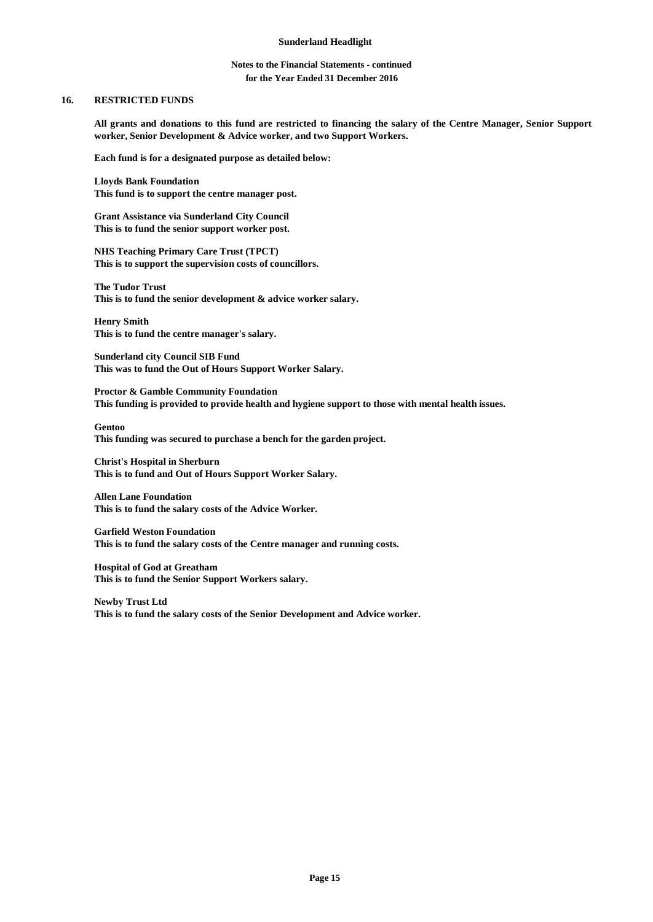## **Notes to the Financial Statements - continued for the Year Ended 31 December 2016**

### **16. RESTRICTED FUNDS**

**All grants and donations to this fund are restricted to financing the salary of the Centre Manager, Senior Support worker, Senior Development & Advice worker, and two Support Workers.**

**Each fund is for a designated purpose as detailed below:**

**Lloyds Bank Foundation This fund is to support the centre manager post.**

**Grant Assistance via Sunderland City Council This is to fund the senior support worker post.**

**NHS Teaching Primary Care Trust (TPCT) This is to support the supervision costs of councillors.**

**The Tudor Trust This is to fund the senior development & advice worker salary.**

**Henry Smith This is to fund the centre manager's salary.**

**Sunderland city Council SIB Fund This was to fund the Out of Hours Support Worker Salary.**

**Proctor & Gamble Community Foundation This funding is provided to provide health and hygiene support to those with mental health issues.**

**Gentoo This funding was secured to purchase a bench for the garden project.**

**Christ's Hospital in Sherburn This is to fund and Out of Hours Support Worker Salary.**

**Allen Lane Foundation This is to fund the salary costs of the Advice Worker.**

**Garfield Weston Foundation This is to fund the salary costs of the Centre manager and running costs.**

**Hospital of God at Greatham This is to fund the Senior Support Workers salary.**

**Newby Trust Ltd This is to fund the salary costs of the Senior Development and Advice worker.**